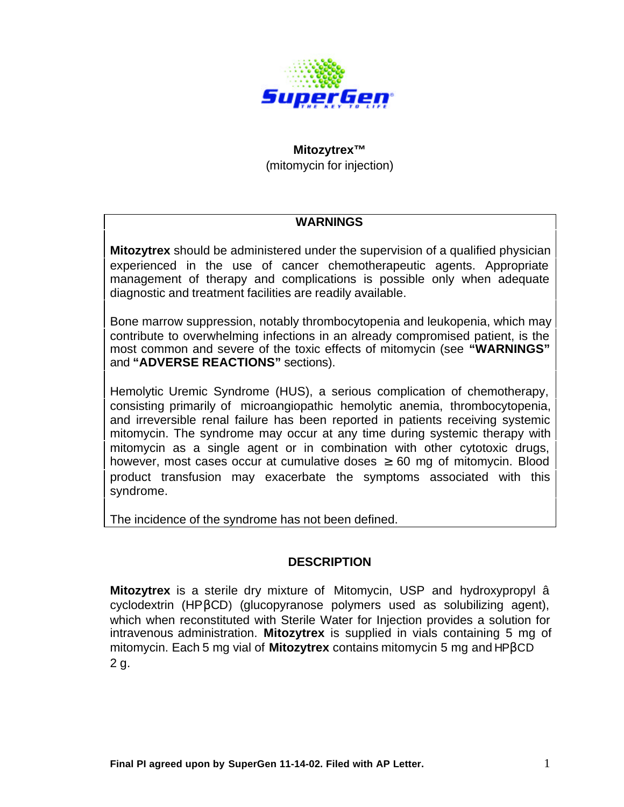

#### **Mitozytrex™**

(mitomycin for injection)

### **WARNINGS**

**Mitozytrex** should be administered under the supervision of a qualified physician experienced in the use of cancer chemotherapeutic agents. Appropriate management of therapy and complications is possible only when adequate diagnostic and treatment facilities are readily available.

Bone marrow suppression, notably thrombocytopenia and leukopenia, which may contribute to overwhelming infections in an already compromised patient, is the most common and severe of the toxic effects of mitomycin (see **"WARNINGS"** and **"ADVERSE REACTIONS"** sections).

Hemolytic Uremic Syndrome (HUS), a serious complication of chemotherapy, consisting primarily of microangiopathic hemolytic anemia, thrombocytopenia, and irreversible renal failure has been reported in patients receiving systemic mitomycin. The syndrome may occur at any time during systemic therapy with mitomycin as a single agent or in combination with other cytotoxic drugs, however, most cases occur at cumulative doses  $\geq 60$  mg of mitomycin. Blood product transfusion may exacerbate the symptoms associated with this syndrome.

The incidence of the syndrome has not been defined.

### **DESCRIPTION**

**Mitozytrex** is a sterile dry mixture of Mitomycin, USP and hydroxypropyl â cyclodextrin (HPβCD) (glucopyranose polymers used as solubilizing agent), which when reconstituted with Sterile Water for Injection provides a solution for intravenous administration. **Mitozytrex** is supplied in vials containing 5 mg of mitomycin. Each 5 mg vial of **Mitozytrex** contains mitomycin 5 mg and HPβCD 2 g.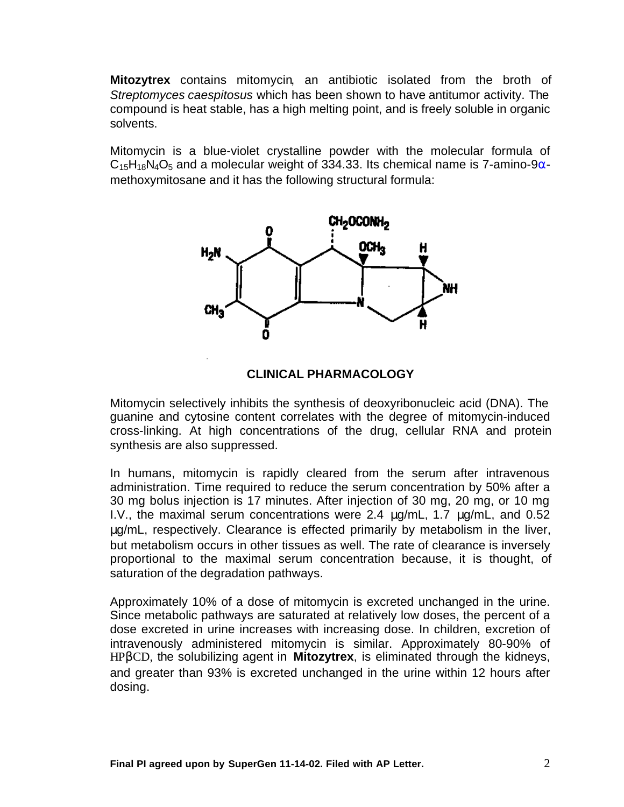**Mitozytrex** contains mitomycin, an antibiotic isolated from the broth of *Streptomyces caespitosus* which has been shown to have antitumor activity. The compound is heat stable, has a high melting point, and is freely soluble in organic solvents.

Mitomycin is a blue-violet crystalline powder with the molecular formula of  $C_{15}H_{18}N_4O_5$  and a molecular weight of 334.33. Its chemical name is 7-amino-9 $\alpha$ methoxymitosane and it has the following structural formula:



### **CLINICAL PHARMACOLOGY**

Mitomycin selectively inhibits the synthesis of deoxyribonucleic acid (DNA). The guanine and cytosine content correlates with the degree of mitomycin-induced cross-linking. At high concentrations of the drug, cellular RNA and protein synthesis are also suppressed.

In humans, mitomycin is rapidly cleared from the serum after intravenous administration. Time required to reduce the serum concentration by 50% after a 30 mg bolus injection is 17 minutes. After injection of 30 mg, 20 mg, or 10 mg I.V., the maximal serum concentrations were 2.4  $\mu$ g/mL, 1.7  $\mu$ g/mL, and 0.52 μg/mL, respectively. Clearance is effected primarily by metabolism in the liver, but metabolism occurs in other tissues as well. The rate of clearance is inversely proportional to the maximal serum concentration because, it is thought, of saturation of the degradation pathways.

Approximately 10% of a dose of mitomycin is excreted unchanged in the urine. Since metabolic pathways are saturated at relatively low doses, the percent of a dose excreted in urine increases with increasing dose. In children, excretion of intravenously administered mitomycin is similar. Approximately 80-90% of HPβCD, the solubilizing agent in **Mitozytrex**, is eliminated through the kidneys, and greater than 93% is excreted unchanged in the urine within 12 hours after dosing.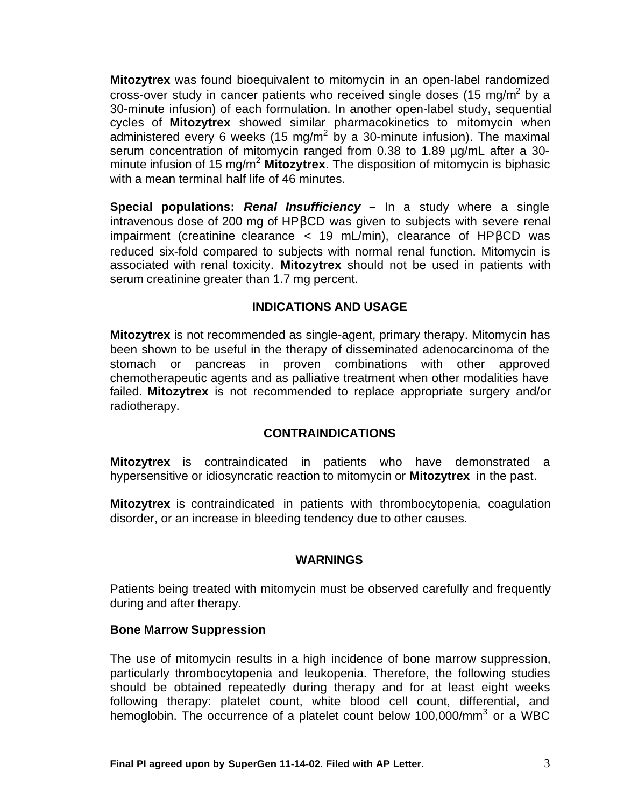**Mitozytrex** was found bioequivalent to mitomycin in an open-label randomized cross-over study in cancer patients who received single doses (15 mg/m<sup>2</sup> by a 30-minute infusion) of each formulation. In another open-label study, sequential cycles of **Mitozytrex** showed similar pharmacokinetics to mitomycin when administered every 6 weeks (15 mg/m<sup>2</sup> by a 30-minute infusion). The maximal serum concentration of mitomycin ranged from 0.38 to 1.89 µg/mL after a 30minute infusion of 15 mg/m<sup>2</sup> **Mitozytrex**. The disposition of mitomycin is biphasic with a mean terminal half life of 46 minutes.

**Special populations:** *Renal Insufficiency –* In a study where a single intravenous dose of 200 mg of HPβCD was given to subjects with severe renal impairment (creatinine clearance < 19 mL/min), clearance of HPβCD was reduced six-fold compared to subjects with normal renal function. Mitomycin is associated with renal toxicity. **Mitozytrex** should not be used in patients with serum creatinine greater than 1.7 mg percent.

## **INDICATIONS AND USAGE**

**Mitozytrex** is not recommended as single-agent, primary therapy. Mitomycin has been shown to be useful in the therapy of disseminated adenocarcinoma of the stomach or pancreas in proven combinations with other approved chemotherapeutic agents and as palliative treatment when other modalities have failed. **Mitozytrex** is not recommended to replace appropriate surgery and/or radiotherapy.

# **CONTRAINDICATIONS**

**Mitozytrex** is contraindicated in patients who have demonstrated a hypersensitive or idiosyncratic reaction to mitomycin or **Mitozytrex** in the past.

**Mitozytrex** is contraindicated in patients with thrombocytopenia, coagulation disorder, or an increase in bleeding tendency due to other causes.

### **WARNINGS**

Patients being treated with mitomycin must be observed carefully and frequently during and after therapy.

### **Bone Marrow Suppression**

The use of mitomycin results in a high incidence of bone marrow suppression, particularly thrombocytopenia and leukopenia. Therefore, the following studies should be obtained repeatedly during therapy and for at least eight weeks following therapy: platelet count, white blood cell count, differential, and hemoglobin. The occurrence of a platelet count below 100,000/mm<sup>3</sup> or a WBC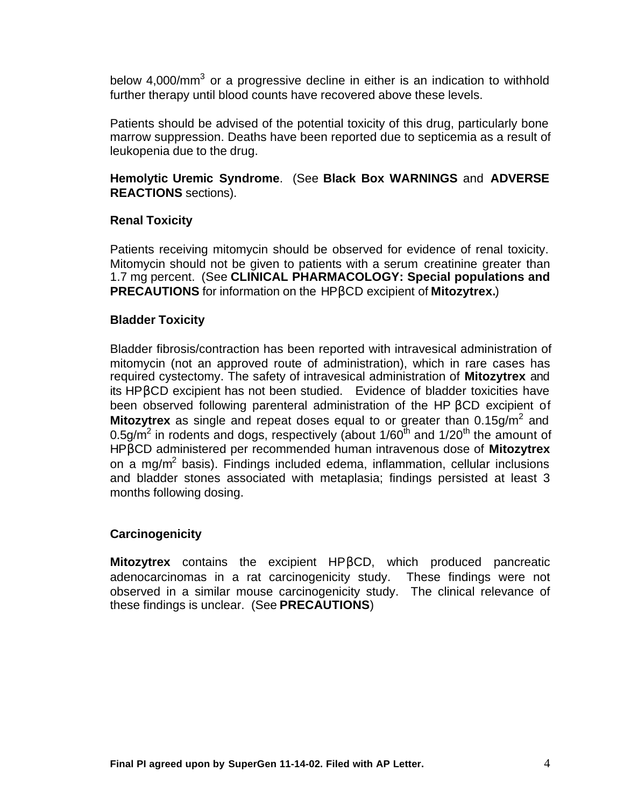below 4,000/mm<sup>3</sup> or a progressive decline in either is an indication to withhold further therapy until blood counts have recovered above these levels.

Patients should be advised of the potential toxicity of this drug, particularly bone marrow suppression. Deaths have been reported due to septicemia as a result of leukopenia due to the drug.

**Hemolytic Uremic Syndrome**. (See **Black Box WARNINGS** and **ADVERSE REACTIONS** sections).

### **Renal Toxicity**

Patients receiving mitomycin should be observed for evidence of renal toxicity. Mitomycin should not be given to patients with a serum creatinine greater than 1.7 mg percent. (See **CLINICAL PHARMACOLOGY: Special populations and PRECAUTIONS** for information on the HPβCD excipient of **Mitozytrex.**)

### **Bladder Toxicity**

Bladder fibrosis/contraction has been reported with intravesical administration of mitomycin (not an approved route of administration), which in rare cases has required cystectomy. The safety of intravesical administration of **Mitozytrex** and its HPβCD excipient has not been studied. Evidence of bladder toxicities have been observed following parenteral administration of the HP βCD excipient of **Mitozytrex** as single and repeat doses equal to or greater than  $0.15$ g/m<sup>2</sup> and 0.5g/m<sup>2</sup> in rodents and dogs, respectively (about 1/60<sup>th</sup> and 1/20<sup>th</sup> the amount of HPβCD administered per recommended human intravenous dose of **Mitozytrex** on a mg/m<sup>2</sup> basis). Findings included edema, inflammation, cellular inclusions and bladder stones associated with metaplasia; findings persisted at least 3 months following dosing.

### **Carcinogenicity**

**Mitozytrex** contains the excipient HPβCD, which produced pancreatic adenocarcinomas in a rat carcinogenicity study. These findings were not observed in a similar mouse carcinogenicity study. The clinical relevance of these findings is unclear. (See **PRECAUTIONS**)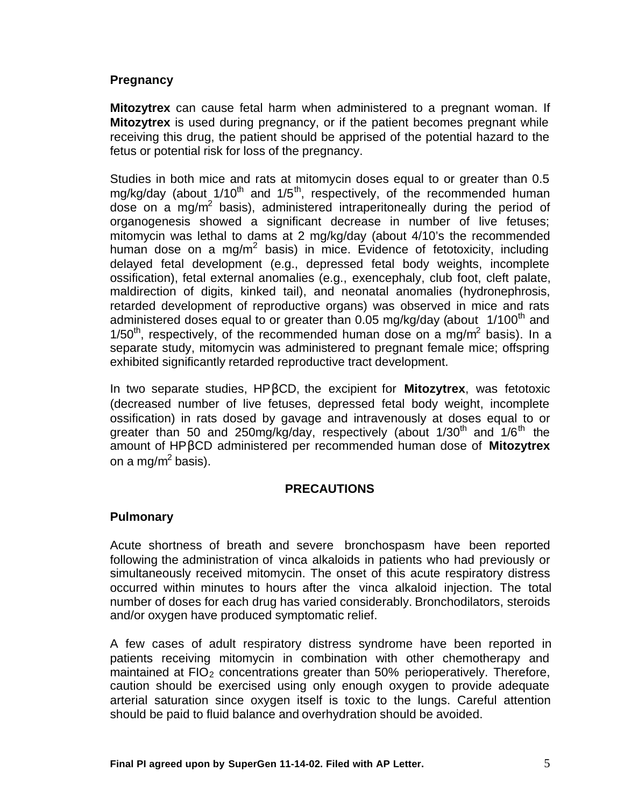## **Pregnancy**

**Mitozytrex** can cause fetal harm when administered to a pregnant woman. If **Mitozytrex** is used during pregnancy, or if the patient becomes pregnant while receiving this drug, the patient should be apprised of the potential hazard to the fetus or potential risk for loss of the pregnancy.

Studies in both mice and rats at mitomycin doses equal to or greater than 0.5 mg/kg/day (about  $1/10^{th}$  and  $1/5^{th}$ , respectively, of the recommended human dose on a mg/m<sup>2</sup> basis), administered intraperitoneally during the period of organogenesis showed a significant decrease in number of live fetuses; mitomycin was lethal to dams at 2 mg/kg/day (about 4/10's the recommended human dose on a mg/m<sup>2</sup> basis) in mice. Evidence of fetotoxicity, including delayed fetal development (e.g., depressed fetal body weights, incomplete ossification), fetal external anomalies (e.g., exencephaly, club foot, cleft palate, maldirection of digits, kinked tail), and neonatal anomalies (hydronephrosis, retarded development of reproductive organs) was observed in mice and rats administered doses equal to or greater than 0.05 mg/kg/day (about  $1/100<sup>th</sup>$  and 1/50<sup>th</sup>, respectively, of the recommended human dose on a mg/m<sup>2</sup> basis). In a separate study, mitomycin was administered to pregnant female mice; offspring exhibited significantly retarded reproductive tract development.

In two separate studies, HPβCD, the excipient for **Mitozytrex**, was fetotoxic (decreased number of live fetuses, depressed fetal body weight, incomplete ossification) in rats dosed by gavage and intravenously at doses equal to or greater than 50 and 250mg/kg/day, respectively (about  $1/30<sup>th</sup>$  and  $1/6<sup>th</sup>$  the amount of HPβCD administered per recommended human dose of **Mitozytrex** on a mg/m<sup>2</sup> basis).

### **PRECAUTIONS**

### **Pulmonary**

Acute shortness of breath and severe bronchospasm have been reported following the administration of vinca alkaloids in patients who had previously or simultaneously received mitomycin. The onset of this acute respiratory distress occurred within minutes to hours after the vinca alkaloid injection. The total number of doses for each drug has varied considerably. Bronchodilators, steroids and/or oxygen have produced symptomatic relief.

A few cases of adult respiratory distress syndrome have been reported in patients receiving mitomycin in combination with other chemotherapy and maintained at  $FIO<sub>2</sub>$  concentrations greater than 50% perioperatively. Therefore, caution should be exercised using only enough oxygen to provide adequate arterial saturation since oxygen itself is toxic to the lungs. Careful attention should be paid to fluid balance and overhydration should be avoided.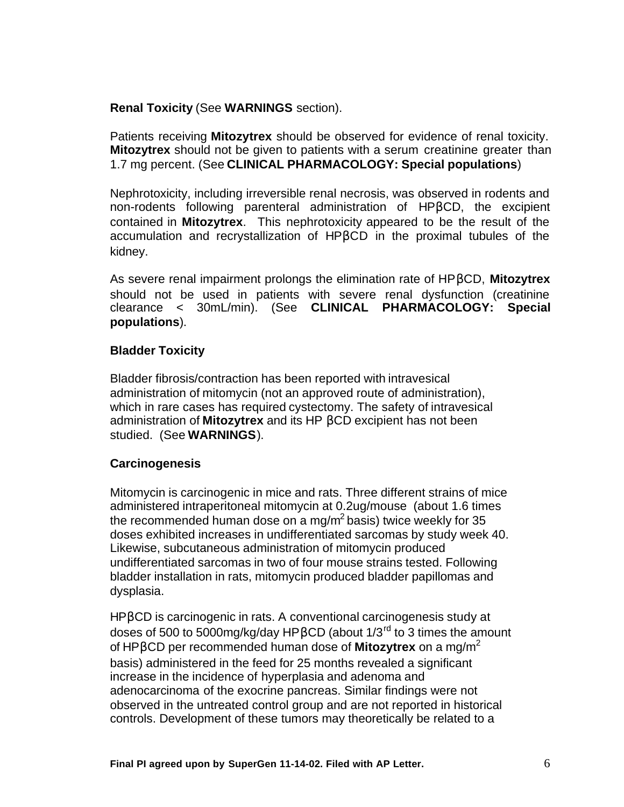**Renal Toxicity** (See **WARNINGS** section).

Patients receiving **Mitozytrex** should be observed for evidence of renal toxicity. **Mitozytrex** should not be given to patients with a serum creatinine greater than 1.7 mg percent. (See **CLINICAL PHARMACOLOGY: Special populations**)

Nephrotoxicity, including irreversible renal necrosis, was observed in rodents and non-rodents following parenteral administration of HPβCD, the excipient contained in **Mitozytrex**. This nephrotoxicity appeared to be the result of the accumulation and recrystallization of HPβCD in the proximal tubules of the kidney.

As severe renal impairment prolongs the elimination rate of HPβCD, **Mitozytrex** should not be used in patients with severe renal dysfunction (creatinine clearance < 30mL/min). (See **CLINICAL PHARMACOLOGY: Special populations**).

## **Bladder Toxicity**

Bladder fibrosis/contraction has been reported with intravesical administration of mitomycin (not an approved route of administration), which in rare cases has required cystectomy. The safety of intravesical administration of **Mitozytrex** and its HP βCD excipient has not been studied. (See **WARNINGS**).

# **Carcinogenesis**

Mitomycin is carcinogenic in mice and rats. Three different strains of mice administered intraperitoneal mitomycin at 0.2ug/mouse (about 1.6 times the recommended human dose on a mg/m<sup>2</sup> basis) twice weekly for 35 doses exhibited increases in undifferentiated sarcomas by study week 40. Likewise, subcutaneous administration of mitomycin produced undifferentiated sarcomas in two of four mouse strains tested. Following bladder installation in rats, mitomycin produced bladder papillomas and dysplasia.

HPβCD is carcinogenic in rats. A conventional carcinogenesis study at doses of 500 to 5000mg/kg/day HPβCD (about 1/3rd to 3 times the amount of HPβCD per recommended human dose of **Mitozytrex** on a mg/m<sup>2</sup> basis) administered in the feed for 25 months revealed a significant increase in the incidence of hyperplasia and adenoma and adenocarcinoma of the exocrine pancreas. Similar findings were not observed in the untreated control group and are not reported in historical controls. Development of these tumors may theoretically be related to a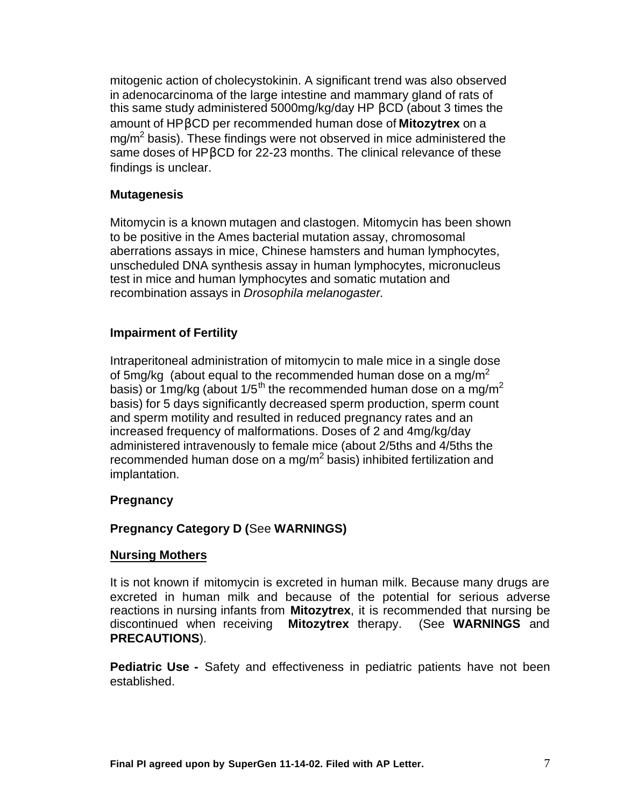mitogenic action of cholecystokinin. A significant trend was also observed in adenocarcinoma of the large intestine and mammary gland of rats of this same study administered 5000mg/kg/day HP βCD (about 3 times the amount of HPβCD per recommended human dose of **Mitozytrex** on a mg/m $^2$  basis). These findings were not observed in mice administered the same doses of HPβCD for 22-23 months. The clinical relevance of these findings is unclear.

### **Mutagenesis**

Mitomycin is a known mutagen and clastogen. Mitomycin has been shown to be positive in the Ames bacterial mutation assay, chromosomal aberrations assays in mice, Chinese hamsters and human lymphocytes, unscheduled DNA synthesis assay in human lymphocytes, micronucleus test in mice and human lymphocytes and somatic mutation and recombination assays in *Drosophila melanogaster.*

### **Impairment of Fertility**

Intraperitoneal administration of mitomycin to male mice in a single dose of 5mg/kg (about equal to the recommended human dose on a mg/m<sup>2</sup> basis) or 1 mg/kg (about 1/5<sup>th</sup> the recommended human dose on a mg/m<sup>2</sup> basis) for 5 days significantly decreased sperm production, sperm count and sperm motility and resulted in reduced pregnancy rates and an increased frequency of malformations. Doses of 2 and 4mg/kg/day administered intravenously to female mice (about 2/5ths and 4/5ths the recommended human dose on a mg/m<sup>2</sup> basis) inhibited fertilization and implantation.

### **Pregnancy**

### **Pregnancy Category D (**See **WARNINGS)**

#### **Nursing Mothers**

It is not known if mitomycin is excreted in human milk. Because many drugs are excreted in human milk and because of the potential for serious adverse reactions in nursing infants from **Mitozytrex**, it is recommended that nursing be discontinued when receiving **Mitozytrex** therapy. (See **WARNINGS** and **PRECAUTIONS**).

**Pediatric Use -** Safety and effectiveness in pediatric patients have not been established.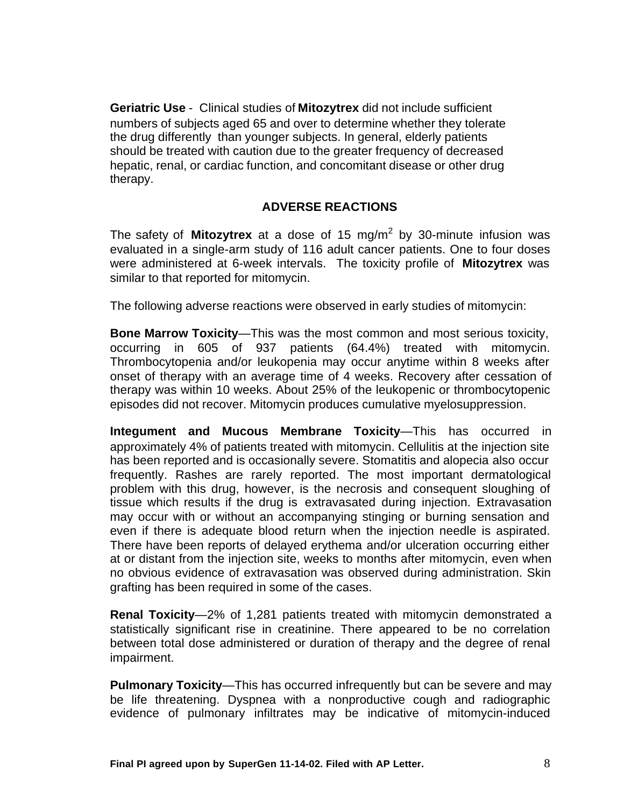**Geriatric Use** - Clinical studies of **Mitozytrex** did not include sufficient numbers of subjects aged 65 and over to determine whether they tolerate the drug differently than younger subjects. In general, elderly patients should be treated with caution due to the greater frequency of decreased hepatic, renal, or cardiac function, and concomitant disease or other drug therapy.

## **ADVERSE REACTIONS**

The safety of **Mitozytrex** at a dose of 15 mg/m<sup>2</sup> by 30-minute infusion was evaluated in a single-arm study of 116 adult cancer patients. One to four doses were administered at 6-week intervals. The toxicity profile of **Mitozytrex** was similar to that reported for mitomycin.

The following adverse reactions were observed in early studies of mitomycin:

**Bone Marrow Toxicity**—This was the most common and most serious toxicity, occurring in 605 of 937 patients (64.4%) treated with mitomycin. Thrombocytopenia and/or leukopenia may occur anytime within 8 weeks after onset of therapy with an average time of 4 weeks. Recovery after cessation of therapy was within 10 weeks. About 25% of the leukopenic or thrombocytopenic episodes did not recover. Mitomycin produces cumulative myelosuppression.

**Integument and Mucous Membrane Toxicity**—This has occurred in approximately 4% of patients treated with mitomycin. Cellulitis at the injection site has been reported and is occasionally severe. Stomatitis and alopecia also occur frequently. Rashes are rarely reported. The most important dermatological problem with this drug, however, is the necrosis and consequent sloughing of tissue which results if the drug is extravasated during injection. Extravasation may occur with or without an accompanying stinging or burning sensation and even if there is adequate blood return when the injection needle is aspirated. There have been reports of delayed erythema and/or ulceration occurring either at or distant from the injection site, weeks to months after mitomycin, even when no obvious evidence of extravasation was observed during administration. Skin grafting has been required in some of the cases.

**Renal Toxicity**—2% of 1,281 patients treated with mitomycin demonstrated a statistically significant rise in creatinine. There appeared to be no correlation between total dose administered or duration of therapy and the degree of renal impairment.

**Pulmonary Toxicity**—This has occurred infrequently but can be severe and may be life threatening. Dyspnea with a nonproductive cough and radiographic evidence of pulmonary infiltrates may be indicative of mitomycin-induced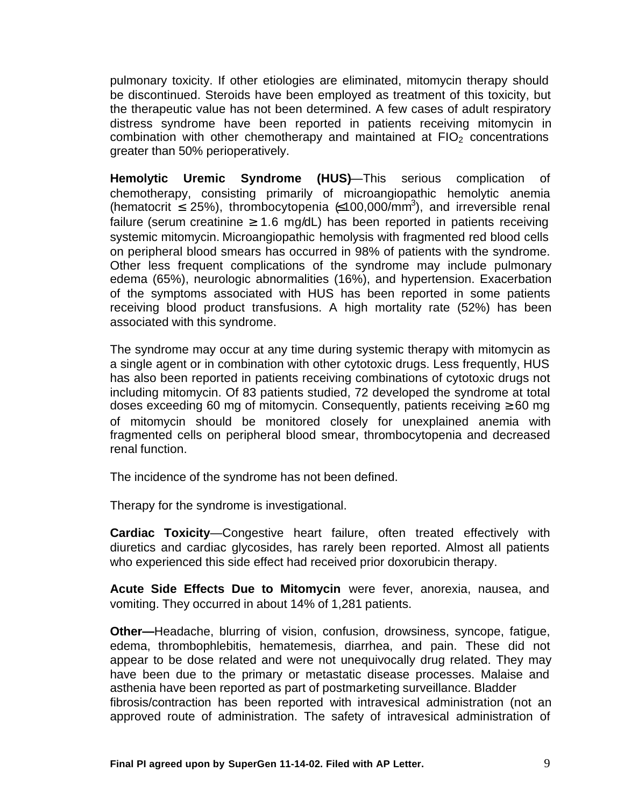pulmonary toxicity. If other etiologies are eliminated, mitomycin therapy should be discontinued. Steroids have been employed as treatment of this toxicity, but the therapeutic value has not been determined. A few cases of adult respiratory distress syndrome have been reported in patients receiving mitomycin in combination with other chemotherapy and maintained at  $FIO<sub>2</sub>$  concentrations greater than 50% perioperatively.

**Hemolytic Uremic Syndrome (HUS)**—This serious complication of chemotherapy, consisting primarily of microangiopathic hemolytic anemia (hematocrit  $\leq$  25%), thrombocytopenia  $\leq$  100,000/mm<sup>3</sup>), and irreversible renal failure (serum creatinine  $\geq 1.6$  mg/dL) has been reported in patients receiving systemic mitomycin. Microangiopathic hemolysis with fragmented red blood cells on peripheral blood smears has occurred in 98% of patients with the syndrome. Other less frequent complications of the syndrome may include pulmonary edema (65%), neurologic abnormalities (16%), and hypertension. Exacerbation of the symptoms associated with HUS has been reported in some patients receiving blood product transfusions. A high mortality rate (52%) has been associated with this syndrome.

The syndrome may occur at any time during systemic therapy with mitomycin as a single agent or in combination with other cytotoxic drugs. Less frequently, HUS has also been reported in patients receiving combinations of cytotoxic drugs not including mitomycin. Of 83 patients studied, 72 developed the syndrome at total doses exceeding 60 mg of mitomycin. Consequently, patients receiving  $\geq 60$  mg of mitomycin should be monitored closely for unexplained anemia with fragmented cells on peripheral blood smear, thrombocytopenia and decreased renal function.

The incidence of the syndrome has not been defined.

Therapy for the syndrome is investigational.

**Cardiac Toxicity**—Congestive heart failure, often treated effectively with diuretics and cardiac glycosides, has rarely been reported. Almost all patients who experienced this side effect had received prior doxorubicin therapy.

**Acute Side Effects Due to Mitomycin** were fever, anorexia, nausea, and vomiting. They occurred in about 14% of 1,281 patients.

**Other—**Headache, blurring of vision, confusion, drowsiness, syncope, fatigue, edema, thrombophlebitis, hematemesis, diarrhea, and pain. These did not appear to be dose related and were not unequivocally drug related. They may have been due to the primary or metastatic disease processes. Malaise and asthenia have been reported as part of postmarketing surveillance. Bladder fibrosis/contraction has been reported with intravesical administration (not an approved route of administration. The safety of intravesical administration of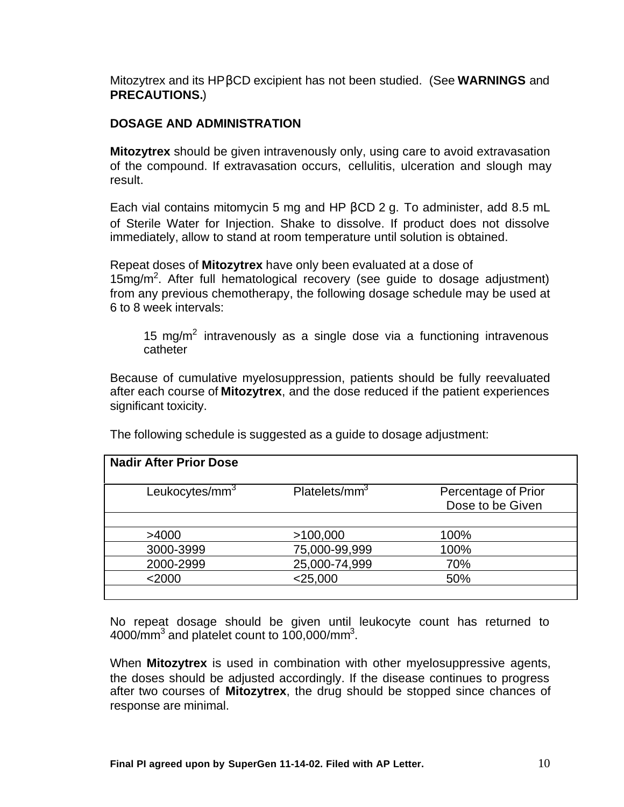Mitozytrex and its HPβCD excipient has not been studied. (See **WARNINGS** and **PRECAUTIONS.**)

### **DOSAGE AND ADMINISTRATION**

**Mitozytrex** should be given intravenously only, using care to avoid extravasation of the compound. If extravasation occurs, cellulitis, ulceration and slough may result.

Each vial contains mitomycin 5 mg and HP  $βCD 2 g$ . To administer, add 8.5 mL of Sterile Water for Injection. Shake to dissolve. If product does not dissolve immediately, allow to stand at room temperature until solution is obtained.

Repeat doses of **Mitozytrex** have only been evaluated at a dose of 15 $mg/m<sup>2</sup>$ . After full hematological recovery (see guide to dosage adjustment) from any previous chemotherapy, the following dosage schedule may be used at 6 to 8 week intervals:

15 mg/m<sup>2</sup> intravenously as a single dose via a functioning intravenous catheter

Because of cumulative myelosuppression, patients should be fully reevaluated after each course of **Mitozytrex**, and the dose reduced if the patient experiences significant toxicity.

| <b>Nadir After Prior Dose</b> |                           |                                         |  |  |  |
|-------------------------------|---------------------------|-----------------------------------------|--|--|--|
| Leukocytes/mm <sup>3</sup>    | Platelets/mm <sup>3</sup> | Percentage of Prior<br>Dose to be Given |  |  |  |
|                               |                           |                                         |  |  |  |
| >4000                         | >100,000                  | 100%                                    |  |  |  |
| 3000-3999                     | 75,000-99,999             | 100%                                    |  |  |  |
| 2000-2999                     | 25,000-74,999             | 70%                                     |  |  |  |
| $<$ 2000                      | $<$ 25,000                | 50%                                     |  |  |  |
|                               |                           |                                         |  |  |  |

The following schedule is suggested as a guide to dosage adjustment:

No repeat dosage should be given until leukocyte count has returned to 4000/mm $^3$  and platelet count to 100,000/mm $^3$ .

When **Mitozytrex** is used in combination with other myelosuppressive agents, the doses should be adjusted accordingly. If the disease continues to progress after two courses of **Mitozytrex**, the drug should be stopped since chances of response are minimal.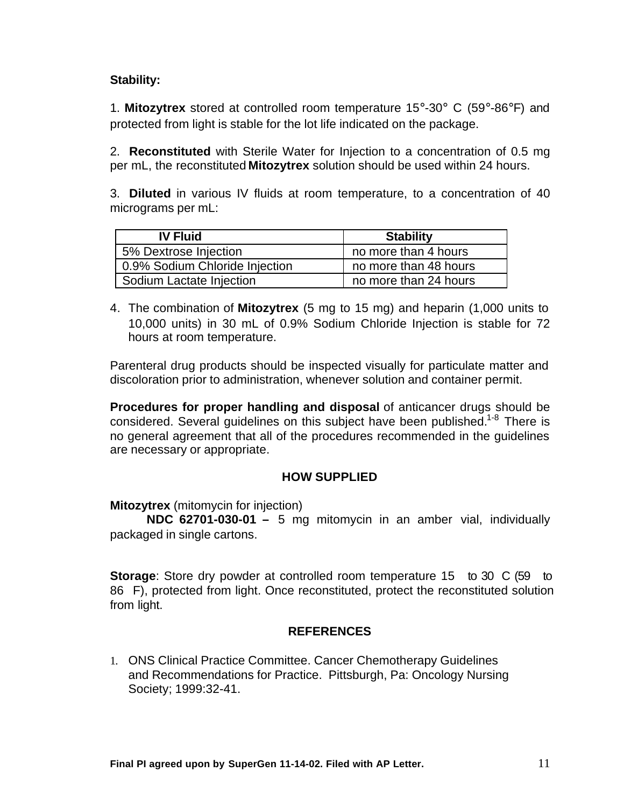## **Stability:**

1. **Mitozytrex** stored at controlled room temperature 15°-30° C (59°-86°F) and protected from light is stable for the lot life indicated on the package.

2. **Reconstituted** with Sterile Water for Injection to a concentration of 0.5 mg per mL, the reconstituted **Mitozytrex** solution should be used within 24 hours.

3. **Diluted** in various IV fluids at room temperature, to a concentration of 40 micrograms per mL:

| <b>IV Fluid</b>                | <b>Stability</b>      |  |  |  |
|--------------------------------|-----------------------|--|--|--|
| 5% Dextrose Injection          | no more than 4 hours  |  |  |  |
| 0.9% Sodium Chloride Injection | no more than 48 hours |  |  |  |
| Sodium Lactate Injection       | no more than 24 hours |  |  |  |

4. The combination of **Mitozytrex** (5 mg to 15 mg) and heparin (1,000 units to 10,000 units) in 30 mL of 0.9% Sodium Chloride Injection is stable for 72 hours at room temperature.

Parenteral drug products should be inspected visually for particulate matter and discoloration prior to administration, whenever solution and container permit.

**Procedures for proper handling and disposal** of anticancer drugs should be considered. Several guidelines on this subject have been published.<sup>1-8</sup> There is no general agreement that all of the procedures recommended in the guidelines are necessary or appropriate.

### **HOW SUPPLIED**

**Mitozytrex** (mitomycin for injection)

**NDC 62701-030-01 –** 5 mg mitomycin in an amber vial, individually packaged in single cartons.

**Storage:** Store dry powder at controlled room temperature 15 to 30 C (59 to 86 F), protected from light. Once reconstituted, protect the reconstituted solution from light.

### **REFERENCES**

1. ONS Clinical Practice Committee. Cancer Chemotherapy Guidelines and Recommendations for Practice. Pittsburgh, Pa: Oncology Nursing Society; 1999:32-41.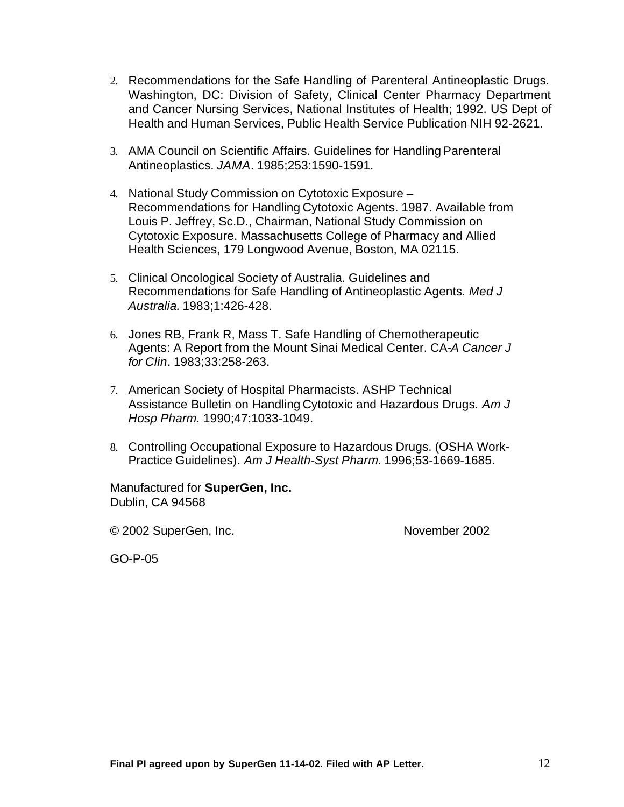- 2. Recommendations for the Safe Handling of Parenteral Antineoplastic Drugs. Washington, DC: Division of Safety, Clinical Center Pharmacy Department and Cancer Nursing Services, National Institutes of Health; 1992. US Dept of Health and Human Services, Public Health Service Publication NIH 92-2621.
- 3. AMA Council on Scientific Affairs. Guidelines for Handling Parenteral Antineoplastics. *JAMA*. 1985;253:1590-1591.
- 4. National Study Commission on Cytotoxic Exposure Recommendations for Handling Cytotoxic Agents. 1987. Available from Louis P. Jeffrey, Sc.D., Chairman, National Study Commission on Cytotoxic Exposure. Massachusetts College of Pharmacy and Allied Health Sciences, 179 Longwood Avenue, Boston, MA 02115.
- 5. Clinical Oncological Society of Australia. Guidelines and Recommendations for Safe Handling of Antineoplastic Agents*. Med J Australia.* 1983;1:426-428.
- 6. Jones RB, Frank R, Mass T. Safe Handling of Chemotherapeutic Agents: A Report from the Mount Sinai Medical Center. CA-*A Cancer J for Clin*. 1983;33:258-263.
- 7. American Society of Hospital Pharmacists. ASHP Technical Assistance Bulletin on Handling Cytotoxic and Hazardous Drugs. *Am J Hosp Pharm.* 1990;47:1033-1049.
- 8. Controlling Occupational Exposure to Hazardous Drugs. (OSHA Work-Practice Guidelines)*. Am J Health-Syst Pharm.* 1996;53-1669-1685.

Manufactured for **SuperGen, Inc.** Dublin, CA 94568

© 2002 SuperGen, Inc. November 2002

GO-P-05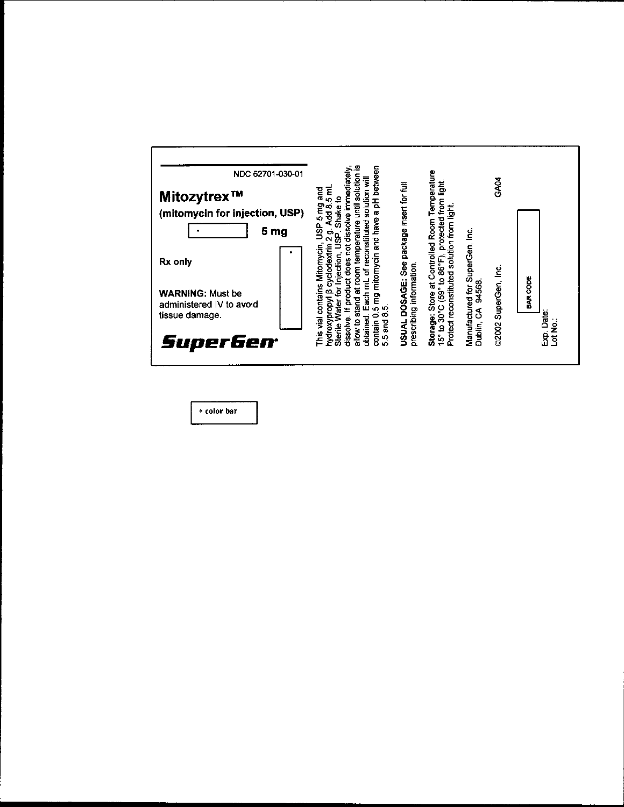| NDC 62701-030-01<br>Mitozytrex™<br>(mitomycin for injection, USP)<br>5<br>mg                                   | a pH between<br>solve immediatel<br>solution<br><b>Iliw notiulos</b><br>t<br>5<br>ខ្លួ<br>Shake to<br><b>That</b><br>Add 8.<br>5 mg<br>and have<br>erature<br>နို့<br>ë | package insert for full                             | Temperature<br>protected from light                                                          |                                                         | GA04                   |                                         |
|----------------------------------------------------------------------------------------------------------------|-------------------------------------------------------------------------------------------------------------------------------------------------------------------------|-----------------------------------------------------|----------------------------------------------------------------------------------------------|---------------------------------------------------------|------------------------|-----------------------------------------|
| Mitomycin                                                                                                      | Each mL of reconstituted<br>.<br>10<br><b>/clodextrin</b><br>temp<br>ection,<br>5 mg mitomycin<br>äoss<br>at room<br>ថ្ម                                                | <b>See</b>                                          | at Controlled Room                                                                           |                                                         |                        |                                         |
| This vial contains<br><u>ទី</u><br>혼<br>6<br>hydroxypropyl<br>neas<br>ater<br>obtained<br>dissolve<br>ot wolle | စာ<br>contain<br><b>Dug</b>                                                                                                                                             | prescribing information.<br>DOSAGE:<br><b>USUAL</b> | Protect reconstituted solution from light<br>30°C (59° to 86°F),<br><b>Store</b><br>Storage: | Manufactured for SuperGen, Inc.<br>94568.<br>Dublin, CA | SuperGen, Inc<br>@2002 | <b>BAR CODE</b><br>Date:<br>osis<br>Tot |
| Sterile <sup>1</sup><br>50<br>5                                                                                |                                                                                                                                                                         |                                                     | $15°$ to                                                                                     |                                                         |                        | e.<br>Bi                                |

\* color bar